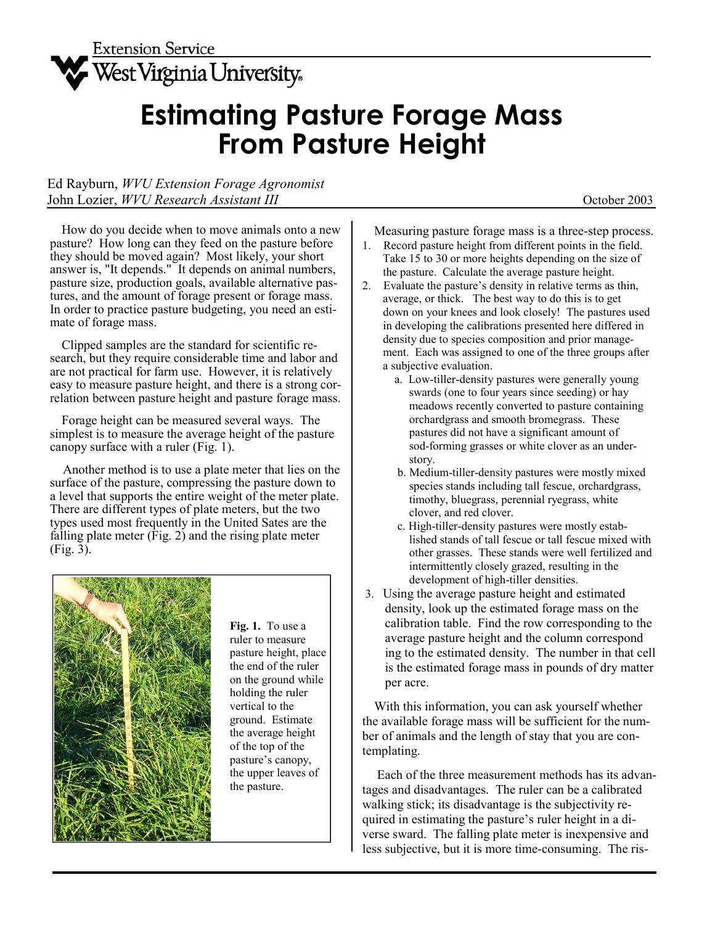

## **Estimating Pasture Forage Mass From Pasture Height**

Ed Rayburn, *WVU Extension Forage Agronomist*  John Lozier, *WVU Research Assistant III* October 2003

 How do you decide when to move animals onto a new pasture? How long can they feed on the pasture before they should be moved again? Most likely, your short answer is, "It depends." It depends on animal numbers, pasture size, production goals, available alternative pastures, and the amount of forage present or forage mass. In order to practice pasture budgeting, you need an estimate of forage mass.

 Clipped samples are the standard for scientific research, but they require considerable time and labor and are not practical for farm use. However, it is relatively easy to measure pasture height, and there is a strong correlation between pasture height and pasture forage mass.

 Forage height can be measured several ways. The simplest is to measure the average height of the pasture canopy surface with a ruler (Fig. 1).

 Another method is to use a plate meter that lies on the surface of the pasture, compressing the pasture down to a level that supports the entire weight of the meter plate. There are different types of plate meters, but the two types used most frequently in the United Sates are the falling plate meter (Fig. 2) and the rising plate meter (Fig. 3).



**Fig. 1.** To use a ruler to measure pasture height, place the end of the ruler on the ground while holding the ruler vertical to the ground. Estimate the average height of the top of the pasture's canopy, the upper leaves of the pasture.

Measuring pasture forage mass is a three-step process.

- 1. Record pasture height from different points in the field. Take 15 to 30 or more heights depending on the size of the pasture. Calculate the average pasture height.
- 2. Evaluate the pasture's density in relative terms as thin, average, or thick. The best way to do this is to get down on your knees and look closely! The pastures used in developing the calibrations presented here differed in density due to species composition and prior manage ment. Each was assigned to one of the three groups after a subjective evaluation.
	- a. Low-tiller-density pastures were generally young swards (one to four years since seeding) or hay meadows recently converted to pasture containing orchardgrass and smooth bromegrass. These pastures did not have a significant amount of sod-forming grasses or white clover as an under story.
	- b. Medium-tiller-density pastures were mostly mixed species stands including tall fescue, orchardgrass, timothy, bluegrass, perennial ryegrass, white clover, and red clover.
	- c. High-tiller-density pastures were mostly estab lished stands of tall fescue or tall fescue mixed with other grasses. These stands were well fertilized and intermittently closely grazed, resulting in the development of high-tiller densities.
- 3. Using the average pasture height and estimated density, look up the estimated forage mass on the calibration table. Find the row corresponding to the average pasture height and the column correspond ing to the estimated density. The number in that cell is the estimated forage mass in pounds of dry matter per acre.

 With this information, you can ask yourself whether the available forage mass will be sufficient for the number of animals and the length of stay that you are contemplating.

 Each of the three measurement methods has its advantages and disadvantages. The ruler can be a calibrated walking stick; its disadvantage is the subjectivity required in estimating the pasture's ruler height in a diverse sward. The falling plate meter is inexpensive and less subjective, but it is more time-consuming. The ris-